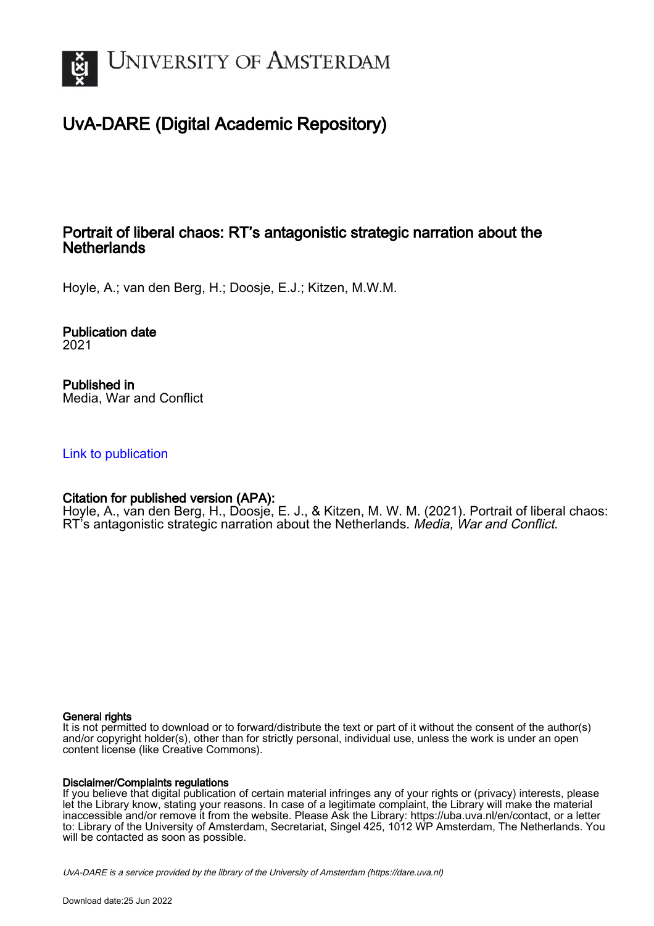

# UvA-DARE (Digital Academic Repository)

# Portrait of liberal chaos: RT's antagonistic strategic narration about the **Netherlands**

Hoyle, A.; van den Berg, H.; Doosje, E.J.; Kitzen, M.W.M.

Publication date 2021

Published in Media, War and Conflict

[Link to publication](https://dare.uva.nl/personal/pure/en/publications/portrait-of-liberal-chaos-rts-antagonistic-strategic-narration-about-the-netherlands(f86c9e9d-6b22-4a77-9f47-f2ae2b5f5a8d).html)

# Citation for published version (APA):

Hoyle, A., van den Berg, H., Doosje, E. J., & Kitzen, M. W. M. (2021). Portrait of liberal chaos: RT's antagonistic strategic narration about the Netherlands. Media, War and Conflict.

## General rights

It is not permitted to download or to forward/distribute the text or part of it without the consent of the author(s) and/or copyright holder(s), other than for strictly personal, individual use, unless the work is under an open content license (like Creative Commons).

## Disclaimer/Complaints regulations

If you believe that digital publication of certain material infringes any of your rights or (privacy) interests, please let the Library know, stating your reasons. In case of a legitimate complaint, the Library will make the material inaccessible and/or remove it from the website. Please Ask the Library: https://uba.uva.nl/en/contact, or a letter to: Library of the University of Amsterdam, Secretariat, Singel 425, 1012 WP Amsterdam, The Netherlands. You will be contacted as soon as possible.

UvA-DARE is a service provided by the library of the University of Amsterdam (http*s*://dare.uva.nl)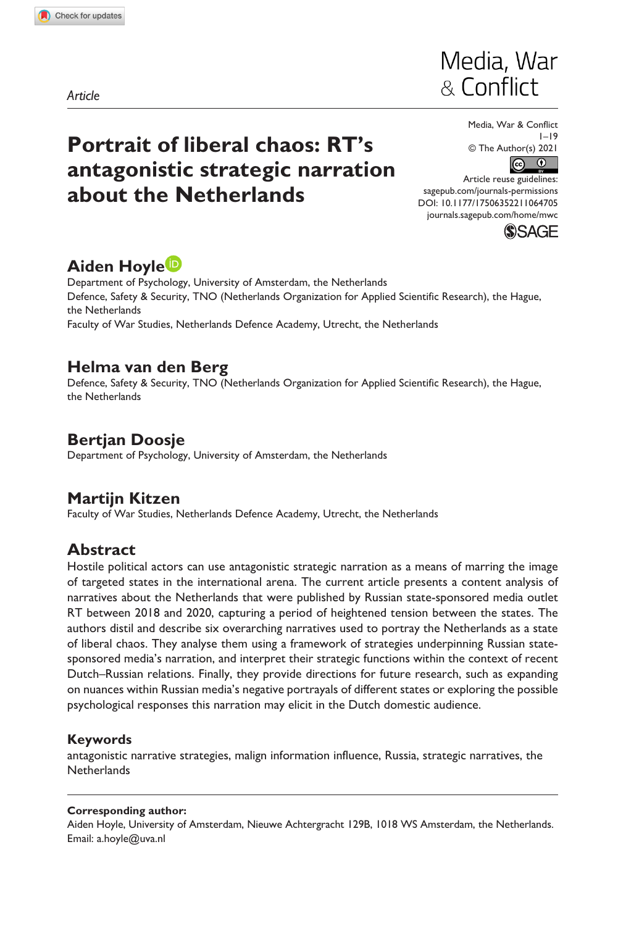**1064[705](http://crossmark.crossref.org/dialog/?doi=10.1177%2F17506352211064705&domain=pdf&date_stamp=2021-12-29)** MWC0010.1177/17506352211064705Media, War & Conflict**Hoyle et al.**

*Article*

# **Portrait of liberal chaos: RT's antagonistic strategic narration about the Netherlands**



Media, War & Conflict 1–19 © The Author(s) 2021  $\odot$ ര

DOI: 10.1177/17506352211064705 Article reuse guidelines: [sagepub.com/journals-permissions](https://uk.sagepub.com/en-gb/journals-permissions) [journals.sagepub.com/home/mwc](https://journals.sagepub.com/home/mwc)



# **Aiden Hoyle**

Department of Psychology, University of Amsterdam, the Netherlands Defence, Safety & Security, TNO (Netherlands Organization for Applied Scientific Research), the Hague, the Netherlands Faculty of War Studies, Netherlands Defence Academy, Utrecht, the Netherlands

# **Helma van den Berg**

Defence, Safety & Security, TNO (Netherlands Organization for Applied Scientific Research), the Hague, the Netherlands

# **Bertjan Doosje**

Department of Psychology, University of Amsterdam, the Netherlands

# **Martijn Kitzen**

Faculty of War Studies, Netherlands Defence Academy, Utrecht, the Netherlands

# **Abstract**

Hostile political actors can use antagonistic strategic narration as a means of marring the image of targeted states in the international arena. The current article presents a content analysis of narratives about the Netherlands that were published by Russian state-sponsored media outlet RT between 2018 and 2020, capturing a period of heightened tension between the states. The authors distil and describe six overarching narratives used to portray the Netherlands as a state of liberal chaos. They analyse them using a framework of strategies underpinning Russian statesponsored media's narration, and interpret their strategic functions within the context of recent Dutch–Russian relations. Finally, they provide directions for future research, such as expanding on nuances within Russian media's negative portrayals of different states or exploring the possible psychological responses this narration may elicit in the Dutch domestic audience.

## **Keywords**

antagonistic narrative strategies, malign information influence, Russia, strategic narratives, the **Netherlands** 

#### **Corresponding author:**

Aiden Hoyle, University of Amsterdam, Nieuwe Achtergracht 129B, 1018 WS Amsterdam, the Netherlands. Email: [a.hoyle@uva.nl](mailto:a.hoyle@uva.nl)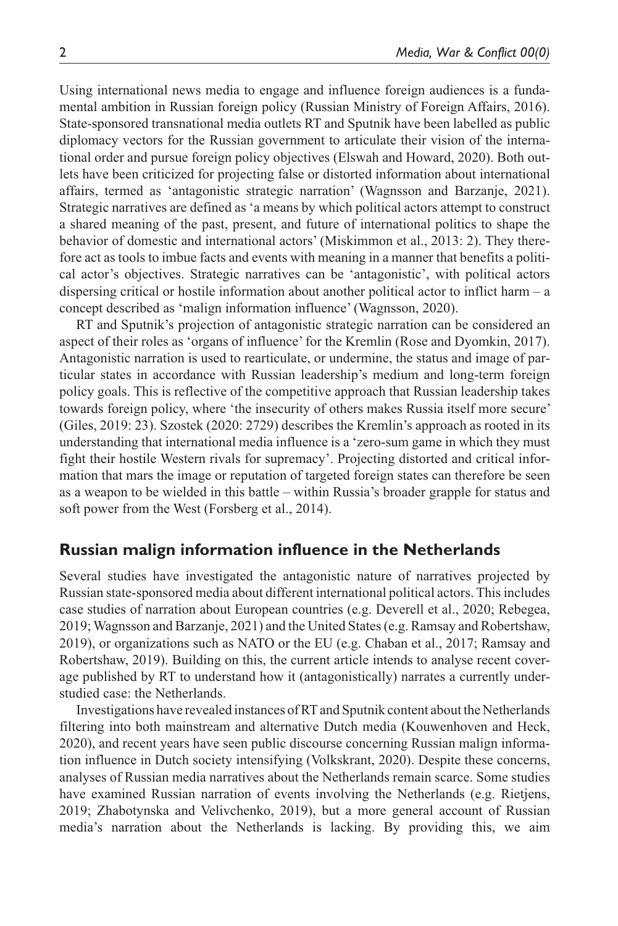Using international news media to engage and influence foreign audiences is a fundamental ambition in Russian foreign policy (Russian Ministry of Foreign Affairs, 2016). State-sponsored transnational media outlets RT and Sputnik have been labelled as public diplomacy vectors for the Russian government to articulate their vision of the international order and pursue foreign policy objectives (Elswah and Howard, 2020). Both outlets have been criticized for projecting false or distorted information about international affairs, termed as 'antagonistic strategic narration' (Wagnsson and Barzanje, 2021). Strategic narratives are defined as 'a means by which political actors attempt to construct a shared meaning of the past, present, and future of international politics to shape the behavior of domestic and international actors' (Miskimmon et al., 2013: 2). They therefore act as tools to imbue facts and events with meaning in a manner that benefits a political actor's objectives. Strategic narratives can be 'antagonistic', with political actors dispersing critical or hostile information about another political actor to inflict harm – a concept described as 'malign information influence' (Wagnsson, 2020).

RT and Sputnik's projection of antagonistic strategic narration can be considered an aspect of their roles as 'organs of influence' for the Kremlin (Rose and Dyomkin, 2017). Antagonistic narration is used to rearticulate, or undermine, the status and image of particular states in accordance with Russian leadership's medium and long-term foreign policy goals. This is reflective of the competitive approach that Russian leadership takes towards foreign policy, where 'the insecurity of others makes Russia itself more secure' (Giles, 2019: 23). Szostek (2020: 2729) describes the Kremlin's approach as rooted in its understanding that international media influence is a 'zero-sum game in which they must fight their hostile Western rivals for supremacy'. Projecting distorted and critical information that mars the image or reputation of targeted foreign states can therefore be seen as a weapon to be wielded in this battle – within Russia's broader grapple for status and soft power from the West (Forsberg et al., 2014).

# **Russian malign information influence in the Netherlands**

Several studies have investigated the antagonistic nature of narratives projected by Russian state-sponsored media about different international political actors. This includes case studies of narration about European countries (e.g. Deverell et al., 2020; Rebegea, 2019; Wagnsson and Barzanje, 2021) and the United States (e.g. Ramsay and Robertshaw, 2019), or organizations such as NATO or the EU (e.g. Chaban et al., 2017; Ramsay and Robertshaw, 2019). Building on this, the current article intends to analyse recent coverage published by RT to understand how it (antagonistically) narrates a currently understudied case: the Netherlands.

Investigations have revealed instances of RT and Sputnik content about the Netherlands filtering into both mainstream and alternative Dutch media (Kouwenhoven and Heck, 2020), and recent years have seen public discourse concerning Russian malign information influence in Dutch society intensifying (Volkskrant, 2020). Despite these concerns, analyses of Russian media narratives about the Netherlands remain scarce. Some studies have examined Russian narration of events involving the Netherlands (e.g. Rietjens, 2019; Zhabotynska and Velivchenko, 2019), but a more general account of Russian media's narration about the Netherlands is lacking. By providing this, we aim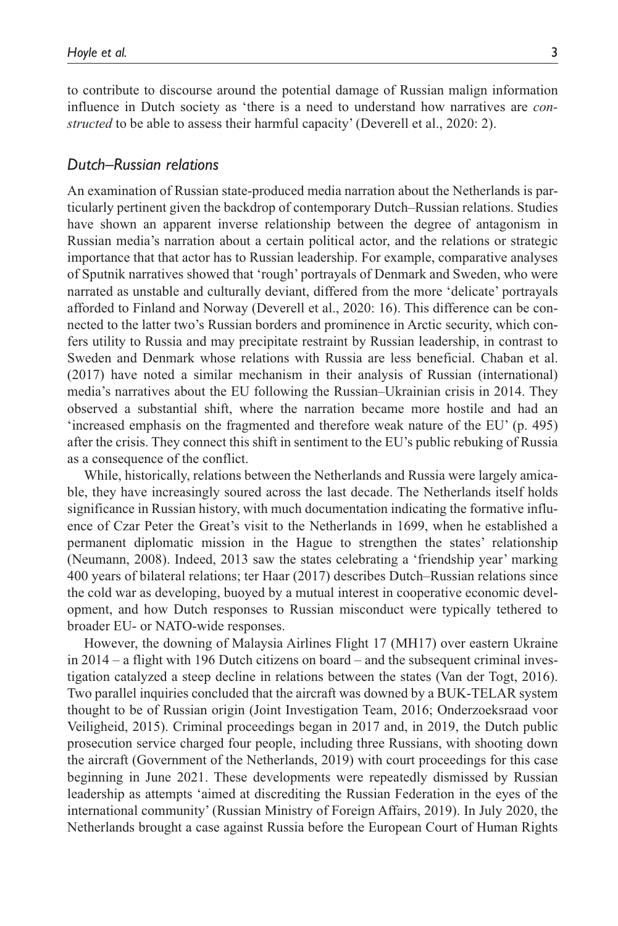to contribute to discourse around the potential damage of Russian malign information influence in Dutch society as 'there is a need to understand how narratives are *constructed* to be able to assess their harmful capacity' (Deverell et al., 2020: 2).

### *Dutch–Russian relations*

An examination of Russian state-produced media narration about the Netherlands is particularly pertinent given the backdrop of contemporary Dutch–Russian relations. Studies have shown an apparent inverse relationship between the degree of antagonism in Russian media's narration about a certain political actor, and the relations or strategic importance that that actor has to Russian leadership. For example, comparative analyses of Sputnik narratives showed that 'rough' portrayals of Denmark and Sweden, who were narrated as unstable and culturally deviant, differed from the more 'delicate' portrayals afforded to Finland and Norway (Deverell et al., 2020: 16). This difference can be connected to the latter two's Russian borders and prominence in Arctic security, which confers utility to Russia and may precipitate restraint by Russian leadership, in contrast to Sweden and Denmark whose relations with Russia are less beneficial. Chaban et al. (2017) have noted a similar mechanism in their analysis of Russian (international) media's narratives about the EU following the Russian–Ukrainian crisis in 2014. They observed a substantial shift, where the narration became more hostile and had an 'increased emphasis on the fragmented and therefore weak nature of the EU' (p. 495) after the crisis. They connect this shift in sentiment to the EU's public rebuking of Russia as a consequence of the conflict.

While, historically, relations between the Netherlands and Russia were largely amicable, they have increasingly soured across the last decade. The Netherlands itself holds significance in Russian history, with much documentation indicating the formative influence of Czar Peter the Great's visit to the Netherlands in 1699, when he established a permanent diplomatic mission in the Hague to strengthen the states' relationship (Neumann, 2008). Indeed, 2013 saw the states celebrating a 'friendship year' marking 400 years of bilateral relations; ter Haar (2017) describes Dutch–Russian relations since the cold war as developing, buoyed by a mutual interest in cooperative economic development, and how Dutch responses to Russian misconduct were typically tethered to broader EU- or NATO-wide responses.

However, the downing of Malaysia Airlines Flight 17 (MH17) over eastern Ukraine in 2014 – a flight with 196 Dutch citizens on board – and the subsequent criminal investigation catalyzed a steep decline in relations between the states (Van der Togt, 2016). Two parallel inquiries concluded that the aircraft was downed by a BUK-TELAR system thought to be of Russian origin (Joint Investigation Team, 2016; Onderzoeksraad voor Veiligheid, 2015). Criminal proceedings began in 2017 and, in 2019, the Dutch public prosecution service charged four people, including three Russians, with shooting down the aircraft (Government of the Netherlands, 2019) with court proceedings for this case beginning in June 2021. These developments were repeatedly dismissed by Russian leadership as attempts 'aimed at discrediting the Russian Federation in the eyes of the international community' (Russian Ministry of Foreign Affairs, 2019). In July 2020, the Netherlands brought a case against Russia before the European Court of Human Rights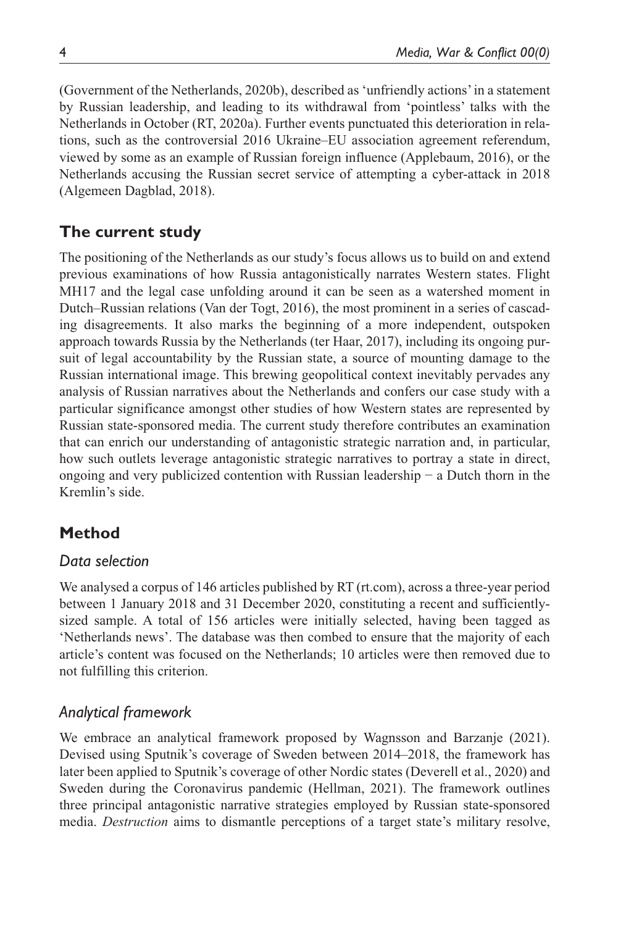(Government of the Netherlands, 2020b), described as 'unfriendly actions' in a statement by Russian leadership, and leading to its withdrawal from 'pointless' talks with the Netherlands in October (RT, 2020a). Further events punctuated this deterioration in relations, such as the controversial 2016 Ukraine–EU association agreement referendum, viewed by some as an example of Russian foreign influence (Applebaum, 2016), or the Netherlands accusing the Russian secret service of attempting a cyber-attack in 2018 (Algemeen Dagblad, 2018).

# **The current study**

The positioning of the Netherlands as our study's focus allows us to build on and extend previous examinations of how Russia antagonistically narrates Western states. Flight MH17 and the legal case unfolding around it can be seen as a watershed moment in Dutch–Russian relations (Van der Togt, 2016), the most prominent in a series of cascading disagreements. It also marks the beginning of a more independent, outspoken approach towards Russia by the Netherlands (ter Haar, 2017), including its ongoing pursuit of legal accountability by the Russian state, a source of mounting damage to the Russian international image. This brewing geopolitical context inevitably pervades any analysis of Russian narratives about the Netherlands and confers our case study with a particular significance amongst other studies of how Western states are represented by Russian state-sponsored media. The current study therefore contributes an examination that can enrich our understanding of antagonistic strategic narration and, in particular, how such outlets leverage antagonistic strategic narratives to portray a state in direct, ongoing and very publicized contention with Russian leadership − a Dutch thorn in the Kremlin's side.

# **Method**

## *Data selection*

We analysed a corpus of 146 articles published by RT (rt.com), across a three-year period between 1 January 2018 and 31 December 2020, constituting a recent and sufficientlysized sample. A total of 156 articles were initially selected, having been tagged as 'Netherlands news'. The database was then combed to ensure that the majority of each article's content was focused on the Netherlands; 10 articles were then removed due to not fulfilling this criterion.

# *Analytical framework*

We embrace an analytical framework proposed by Wagnsson and Barzanje (2021). Devised using Sputnik's coverage of Sweden between 2014–2018, the framework has later been applied to Sputnik's coverage of other Nordic states (Deverell et al., 2020) and Sweden during the Coronavirus pandemic (Hellman, 2021). The framework outlines three principal antagonistic narrative strategies employed by Russian state-sponsored media. *Destruction* aims to dismantle perceptions of a target state's military resolve,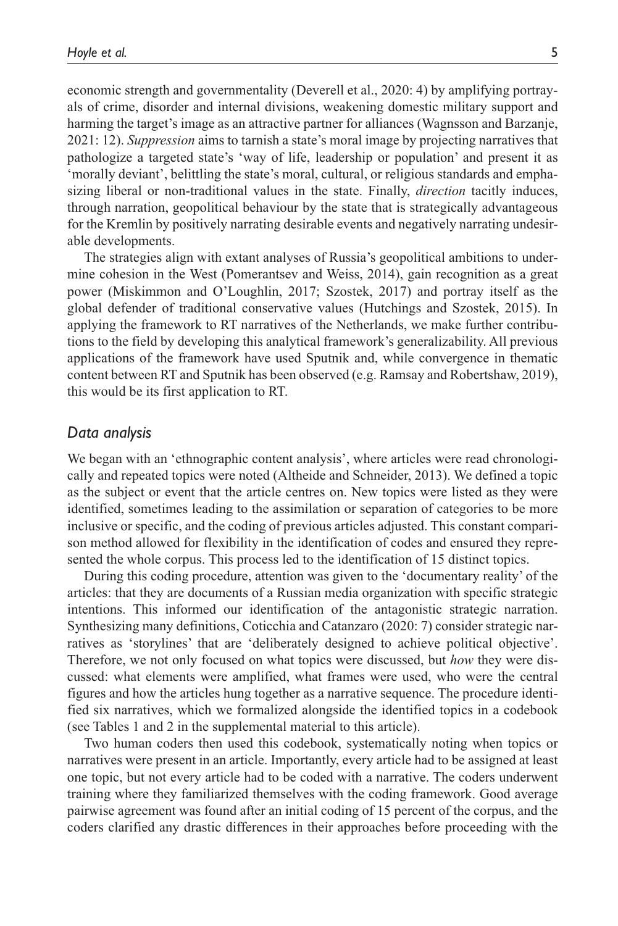economic strength and governmentality (Deverell et al., 2020: 4) by amplifying portrayals of crime, disorder and internal divisions, weakening domestic military support and harming the target's image as an attractive partner for alliances (Wagnsson and Barzanje, 2021: 12). *Suppression* aims to tarnish a state's moral image by projecting narratives that pathologize a targeted state's 'way of life, leadership or population' and present it as 'morally deviant', belittling the state's moral, cultural, or religious standards and emphasizing liberal or non-traditional values in the state. Finally, *direction* tacitly induces, through narration, geopolitical behaviour by the state that is strategically advantageous for the Kremlin by positively narrating desirable events and negatively narrating undesirable developments.

The strategies align with extant analyses of Russia's geopolitical ambitions to undermine cohesion in the West (Pomerantsev and Weiss, 2014), gain recognition as a great power (Miskimmon and O'Loughlin, 2017; Szostek, 2017) and portray itself as the global defender of traditional conservative values (Hutchings and Szostek, 2015). In applying the framework to RT narratives of the Netherlands, we make further contributions to the field by developing this analytical framework's generalizability. All previous applications of the framework have used Sputnik and, while convergence in thematic content between RT and Sputnik has been observed (e.g. Ramsay and Robertshaw, 2019), this would be its first application to RT.

#### *Data analysis*

We began with an 'ethnographic content analysis', where articles were read chronologically and repeated topics were noted (Altheide and Schneider, 2013). We defined a topic as the subject or event that the article centres on. New topics were listed as they were identified, sometimes leading to the assimilation or separation of categories to be more inclusive or specific, and the coding of previous articles adjusted. This constant comparison method allowed for flexibility in the identification of codes and ensured they represented the whole corpus. This process led to the identification of 15 distinct topics.

During this coding procedure, attention was given to the 'documentary reality' of the articles: that they are documents of a Russian media organization with specific strategic intentions. This informed our identification of the antagonistic strategic narration. Synthesizing many definitions, Coticchia and Catanzaro (2020: 7) consider strategic narratives as 'storylines' that are 'deliberately designed to achieve political objective'. Therefore, we not only focused on what topics were discussed, but *how* they were discussed: what elements were amplified, what frames were used, who were the central figures and how the articles hung together as a narrative sequence. The procedure identified six narratives, which we formalized alongside the identified topics in a codebook (see Tables 1 and 2 in the supplemental material to this article).

Two human coders then used this codebook, systematically noting when topics or narratives were present in an article. Importantly, every article had to be assigned at least one topic, but not every article had to be coded with a narrative. The coders underwent training where they familiarized themselves with the coding framework. Good average pairwise agreement was found after an initial coding of 15 percent of the corpus, and the coders clarified any drastic differences in their approaches before proceeding with the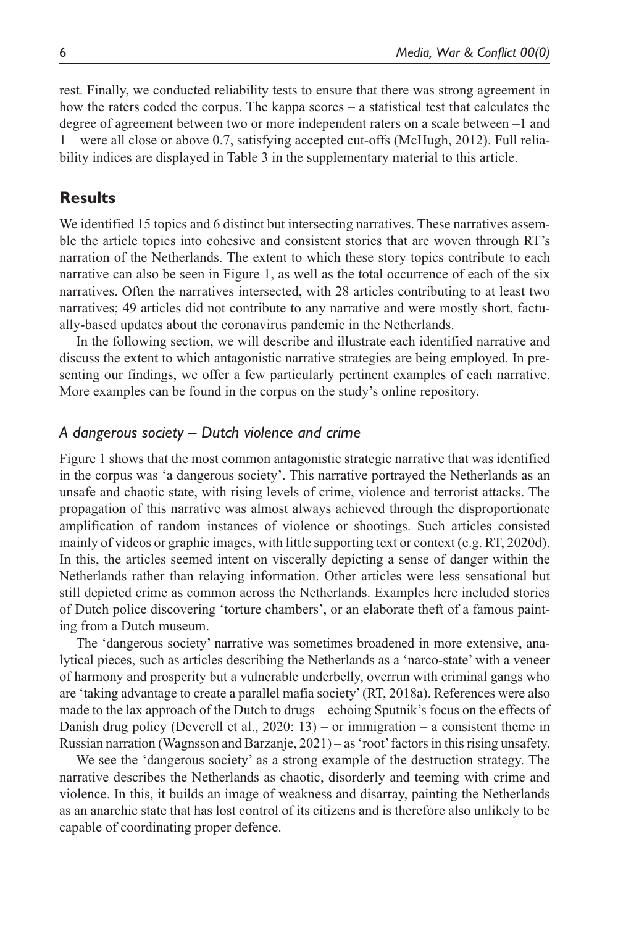rest. Finally, we conducted reliability tests to ensure that there was strong agreement in how the raters coded the corpus. The kappa scores – a statistical test that calculates the degree of agreement between two or more independent raters on a scale between –1 and 1 – were all close or above 0.7, satisfying accepted cut-offs (McHugh, 2012). Full reliability indices are displayed in Table 3 in the supplementary material to this article.

## **Results**

We identified 15 topics and 6 distinct but intersecting narratives. These narratives assemble the article topics into cohesive and consistent stories that are woven through RT's narration of the Netherlands. The extent to which these story topics contribute to each narrative can also be seen in Figure 1, as well as the total occurrence of each of the six narratives. Often the narratives intersected, with 28 articles contributing to at least two narratives; 49 articles did not contribute to any narrative and were mostly short, factually-based updates about the coronavirus pandemic in the Netherlands.

In the following section, we will describe and illustrate each identified narrative and discuss the extent to which antagonistic narrative strategies are being employed. In presenting our findings, we offer a few particularly pertinent examples of each narrative. More examples can be found in the corpus on the study's online repository.

### *A dangerous society – Dutch violence and crime*

Figure 1 shows that the most common antagonistic strategic narrative that was identified in the corpus was 'a dangerous society'. This narrative portrayed the Netherlands as an unsafe and chaotic state, with rising levels of crime, violence and terrorist attacks. The propagation of this narrative was almost always achieved through the disproportionate amplification of random instances of violence or shootings. Such articles consisted mainly of videos or graphic images, with little supporting text or context (e.g. RT, 2020d). In this, the articles seemed intent on viscerally depicting a sense of danger within the Netherlands rather than relaying information. Other articles were less sensational but still depicted crime as common across the Netherlands. Examples here included stories of Dutch police discovering 'torture chambers', or an elaborate theft of a famous painting from a Dutch museum.

The 'dangerous society' narrative was sometimes broadened in more extensive, analytical pieces, such as articles describing the Netherlands as a 'narco-state' with a veneer of harmony and prosperity but a vulnerable underbelly, overrun with criminal gangs who are 'taking advantage to create a parallel mafia society' (RT, 2018a). References were also made to the lax approach of the Dutch to drugs – echoing Sputnik's focus on the effects of Danish drug policy (Deverell et al.,  $2020: 13$ ) – or immigration – a consistent theme in Russian narration (Wagnsson and Barzanje, 2021) – as 'root' factors in this rising unsafety.

We see the 'dangerous society' as a strong example of the destruction strategy. The narrative describes the Netherlands as chaotic, disorderly and teeming with crime and violence. In this, it builds an image of weakness and disarray, painting the Netherlands as an anarchic state that has lost control of its citizens and is therefore also unlikely to be capable of coordinating proper defence.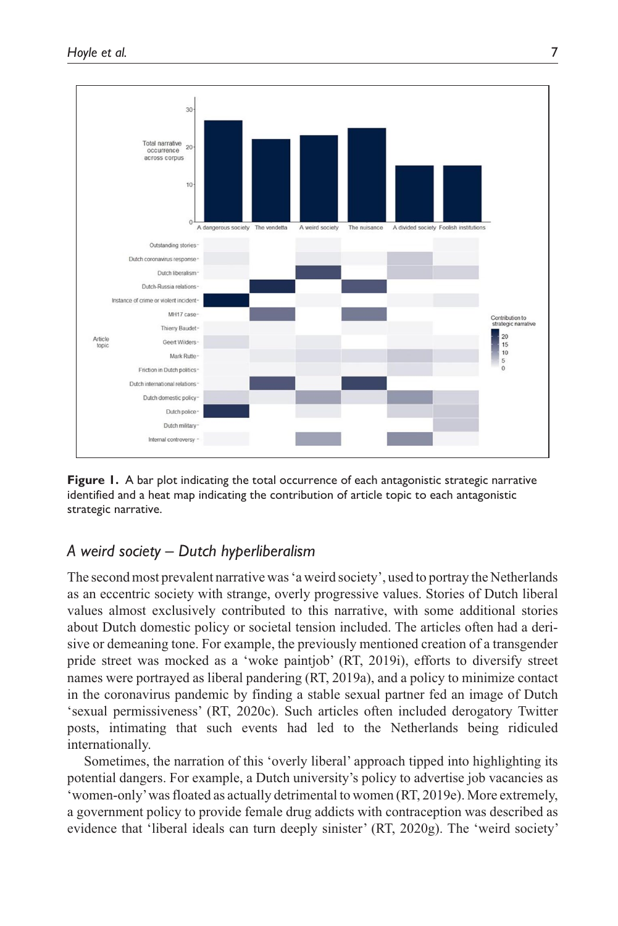

**Figure 1.** A bar plot indicating the total occurrence of each antagonistic strategic narrative identified and a heat map indicating the contribution of article topic to each antagonistic strategic narrative.

## *A weird society – Dutch hyperliberalism*

The second most prevalent narrative was 'a weird society', used to portray the Netherlands as an eccentric society with strange, overly progressive values. Stories of Dutch liberal values almost exclusively contributed to this narrative, with some additional stories about Dutch domestic policy or societal tension included. The articles often had a derisive or demeaning tone. For example, the previously mentioned creation of a transgender pride street was mocked as a 'woke paintjob' (RT, 2019i), efforts to diversify street names were portrayed as liberal pandering (RT, 2019a), and a policy to minimize contact in the coronavirus pandemic by finding a stable sexual partner fed an image of Dutch 'sexual permissiveness' (RT, 2020c). Such articles often included derogatory Twitter posts, intimating that such events had led to the Netherlands being ridiculed internationally.

Sometimes, the narration of this 'overly liberal' approach tipped into highlighting its potential dangers. For example, a Dutch university's policy to advertise job vacancies as 'women-only' was floated as actually detrimental to women (RT, 2019e). More extremely, a government policy to provide female drug addicts with contraception was described as evidence that 'liberal ideals can turn deeply sinister' (RT, 2020g). The 'weird society'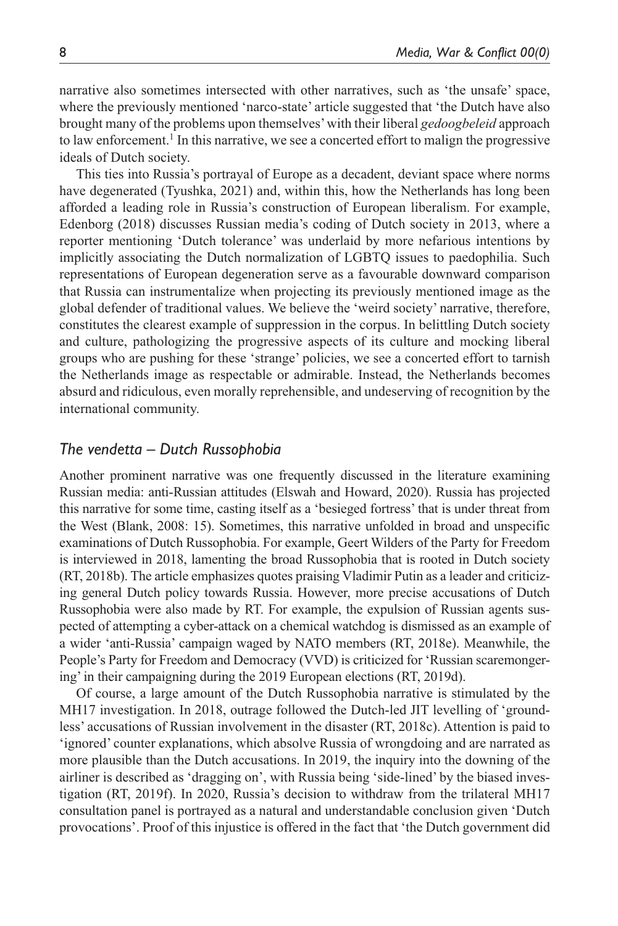narrative also sometimes intersected with other narratives, such as 'the unsafe' space, where the previously mentioned 'narco-state' article suggested that 'the Dutch have also brought many of the problems upon themselves' with their liberal *gedoogbeleid* approach to law enforcement.<sup>1</sup> In this narrative, we see a concerted effort to malign the progressive ideals of Dutch society.

This ties into Russia's portrayal of Europe as a decadent, deviant space where norms have degenerated (Tyushka, 2021) and, within this, how the Netherlands has long been afforded a leading role in Russia's construction of European liberalism. For example, Edenborg (2018) discusses Russian media's coding of Dutch society in 2013, where a reporter mentioning 'Dutch tolerance' was underlaid by more nefarious intentions by implicitly associating the Dutch normalization of LGBTQ issues to paedophilia. Such representations of European degeneration serve as a favourable downward comparison that Russia can instrumentalize when projecting its previously mentioned image as the global defender of traditional values. We believe the 'weird society' narrative, therefore, constitutes the clearest example of suppression in the corpus. In belittling Dutch society and culture, pathologizing the progressive aspects of its culture and mocking liberal groups who are pushing for these 'strange' policies, we see a concerted effort to tarnish the Netherlands image as respectable or admirable. Instead, the Netherlands becomes absurd and ridiculous, even morally reprehensible, and undeserving of recognition by the international community.

#### *The vendetta – Dutch Russophobia*

Another prominent narrative was one frequently discussed in the literature examining Russian media: anti-Russian attitudes (Elswah and Howard, 2020). Russia has projected this narrative for some time, casting itself as a 'besieged fortress' that is under threat from the West (Blank, 2008: 15). Sometimes, this narrative unfolded in broad and unspecific examinations of Dutch Russophobia. For example, Geert Wilders of the Party for Freedom is interviewed in 2018, lamenting the broad Russophobia that is rooted in Dutch society (RT, 2018b). The article emphasizes quotes praising Vladimir Putin as a leader and criticizing general Dutch policy towards Russia. However, more precise accusations of Dutch Russophobia were also made by RT. For example, the expulsion of Russian agents suspected of attempting a cyber-attack on a chemical watchdog is dismissed as an example of a wider 'anti-Russia' campaign waged by NATO members (RT, 2018e). Meanwhile, the People's Party for Freedom and Democracy (VVD) is criticized for 'Russian scaremongering' in their campaigning during the 2019 European elections (RT, 2019d).

Of course, a large amount of the Dutch Russophobia narrative is stimulated by the MH17 investigation. In 2018, outrage followed the Dutch-led JIT levelling of 'groundless' accusations of Russian involvement in the disaster (RT, 2018c). Attention is paid to 'ignored' counter explanations, which absolve Russia of wrongdoing and are narrated as more plausible than the Dutch accusations. In 2019, the inquiry into the downing of the airliner is described as 'dragging on', with Russia being 'side-lined' by the biased investigation (RT, 2019f). In 2020, Russia's decision to withdraw from the trilateral MH17 consultation panel is portrayed as a natural and understandable conclusion given 'Dutch provocations'. Proof of this injustice is offered in the fact that 'the Dutch government did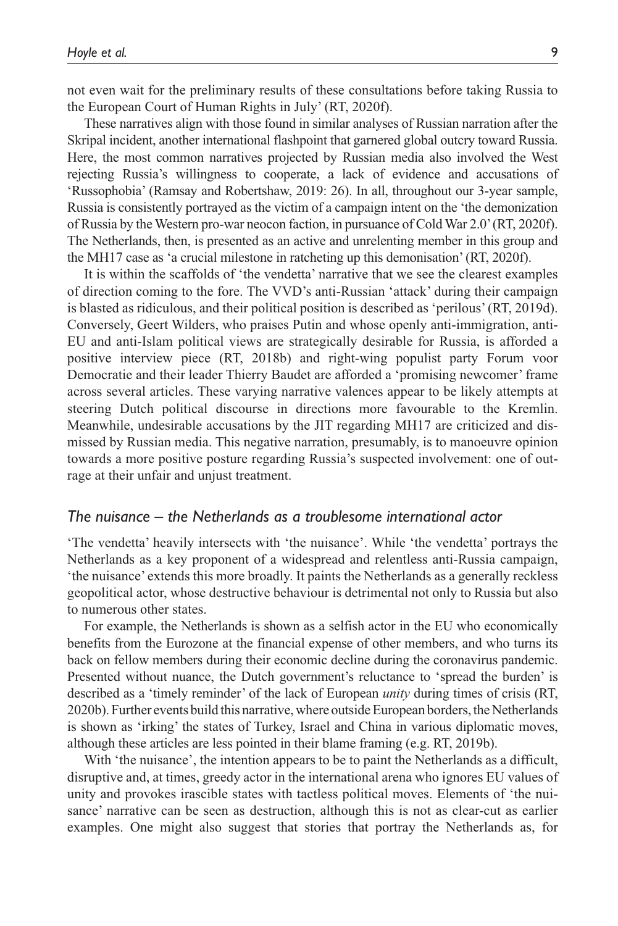not even wait for the preliminary results of these consultations before taking Russia to the European Court of Human Rights in July' (RT, 2020f).

These narratives align with those found in similar analyses of Russian narration after the Skripal incident, another international flashpoint that garnered global outcry toward Russia. Here, the most common narratives projected by Russian media also involved the West rejecting Russia's willingness to cooperate, a lack of evidence and accusations of 'Russophobia' (Ramsay and Robertshaw, 2019: 26). In all, throughout our 3-year sample, Russia is consistently portrayed as the victim of a campaign intent on the 'the demonization of Russia by the Western pro-war neocon faction, in pursuance of Cold War 2.0' (RT, 2020f). The Netherlands, then, is presented as an active and unrelenting member in this group and the MH17 case as 'a crucial milestone in ratcheting up this demonisation' (RT, 2020f).

It is within the scaffolds of 'the vendetta' narrative that we see the clearest examples of direction coming to the fore. The VVD's anti-Russian 'attack' during their campaign is blasted as ridiculous, and their political position is described as 'perilous' (RT, 2019d). Conversely, Geert Wilders, who praises Putin and whose openly anti-immigration, anti-EU and anti-Islam political views are strategically desirable for Russia, is afforded a positive interview piece (RT, 2018b) and right-wing populist party Forum voor Democratie and their leader Thierry Baudet are afforded a 'promising newcomer' frame across several articles. These varying narrative valences appear to be likely attempts at steering Dutch political discourse in directions more favourable to the Kremlin. Meanwhile, undesirable accusations by the JIT regarding MH17 are criticized and dismissed by Russian media. This negative narration, presumably, is to manoeuvre opinion towards a more positive posture regarding Russia's suspected involvement: one of outrage at their unfair and unjust treatment.

#### *The nuisance – the Netherlands as a troublesome international actor*

'The vendetta' heavily intersects with 'the nuisance'. While 'the vendetta' portrays the Netherlands as a key proponent of a widespread and relentless anti-Russia campaign, 'the nuisance' extends this more broadly. It paints the Netherlands as a generally reckless geopolitical actor, whose destructive behaviour is detrimental not only to Russia but also to numerous other states.

For example, the Netherlands is shown as a selfish actor in the EU who economically benefits from the Eurozone at the financial expense of other members, and who turns its back on fellow members during their economic decline during the coronavirus pandemic. Presented without nuance, the Dutch government's reluctance to 'spread the burden' is described as a 'timely reminder' of the lack of European *unity* during times of crisis (RT, 2020b). Further events build this narrative, where outside European borders, the Netherlands is shown as 'irking' the states of Turkey, Israel and China in various diplomatic moves, although these articles are less pointed in their blame framing (e.g. RT, 2019b).

With 'the nuisance', the intention appears to be to paint the Netherlands as a difficult, disruptive and, at times, greedy actor in the international arena who ignores EU values of unity and provokes irascible states with tactless political moves. Elements of 'the nuisance' narrative can be seen as destruction, although this is not as clear-cut as earlier examples. One might also suggest that stories that portray the Netherlands as, for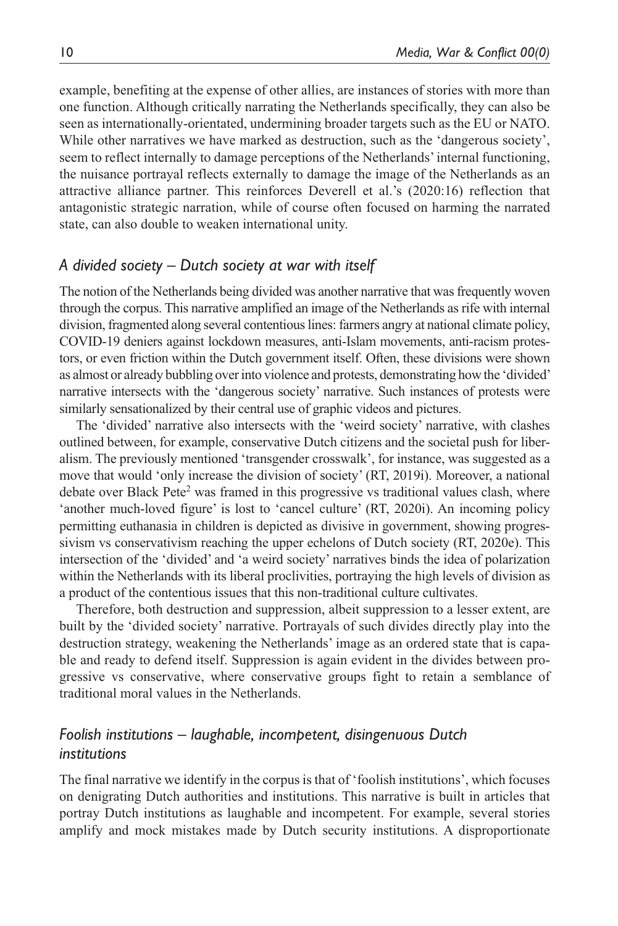example, benefiting at the expense of other allies, are instances of stories with more than one function. Although critically narrating the Netherlands specifically, they can also be seen as internationally-orientated, undermining broader targets such as the EU or NATO. While other narratives we have marked as destruction, such as the 'dangerous society', seem to reflect internally to damage perceptions of the Netherlands' internal functioning, the nuisance portrayal reflects externally to damage the image of the Netherlands as an attractive alliance partner. This reinforces Deverell et al.'s (2020:16) reflection that antagonistic strategic narration, while of course often focused on harming the narrated state, can also double to weaken international unity.

### *A divided society – Dutch society at war with itself*

The notion of the Netherlands being divided was another narrative that was frequently woven through the corpus. This narrative amplified an image of the Netherlands as rife with internal division, fragmented along several contentious lines: farmers angry at national climate policy, COVID-19 deniers against lockdown measures, anti-Islam movements, anti-racism protestors, or even friction within the Dutch government itself. Often, these divisions were shown as almost or already bubbling over into violence and protests, demonstrating how the 'divided' narrative intersects with the 'dangerous society' narrative. Such instances of protests were similarly sensationalized by their central use of graphic videos and pictures.

The 'divided' narrative also intersects with the 'weird society' narrative, with clashes outlined between, for example, conservative Dutch citizens and the societal push for liberalism. The previously mentioned 'transgender crosswalk', for instance, was suggested as a move that would 'only increase the division of society' (RT, 2019i). Moreover, a national debate over Black Pete<sup>2</sup> was framed in this progressive vs traditional values clash, where 'another much-loved figure' is lost to 'cancel culture' (RT, 2020i). An incoming policy permitting euthanasia in children is depicted as divisive in government, showing progressivism vs conservativism reaching the upper echelons of Dutch society (RT, 2020e). This intersection of the 'divided' and 'a weird society' narratives binds the idea of polarization within the Netherlands with its liberal proclivities, portraying the high levels of division as a product of the contentious issues that this non-traditional culture cultivates.

Therefore, both destruction and suppression, albeit suppression to a lesser extent, are built by the 'divided society' narrative. Portrayals of such divides directly play into the destruction strategy, weakening the Netherlands' image as an ordered state that is capable and ready to defend itself. Suppression is again evident in the divides between progressive vs conservative, where conservative groups fight to retain a semblance of traditional moral values in the Netherlands.

# *Foolish institutions – laughable, incompetent, disingenuous Dutch institutions*

The final narrative we identify in the corpus is that of 'foolish institutions', which focuses on denigrating Dutch authorities and institutions. This narrative is built in articles that portray Dutch institutions as laughable and incompetent. For example, several stories amplify and mock mistakes made by Dutch security institutions. A disproportionate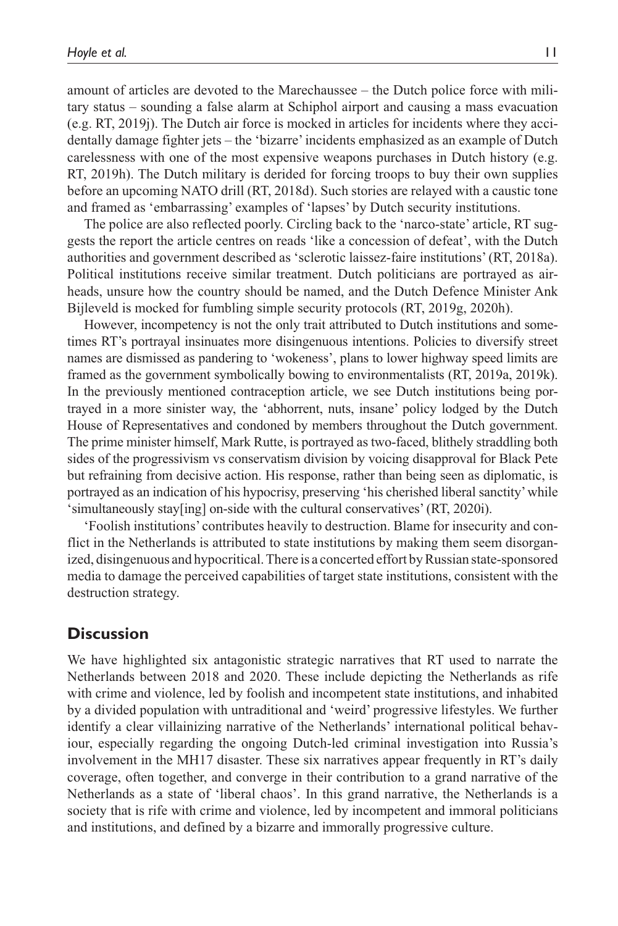amount of articles are devoted to the Marechaussee – the Dutch police force with military status – sounding a false alarm at Schiphol airport and causing a mass evacuation (e.g. RT, 2019j). The Dutch air force is mocked in articles for incidents where they accidentally damage fighter jets – the 'bizarre' incidents emphasized as an example of Dutch carelessness with one of the most expensive weapons purchases in Dutch history (e.g. RT, 2019h). The Dutch military is derided for forcing troops to buy their own supplies before an upcoming NATO drill (RT, 2018d). Such stories are relayed with a caustic tone and framed as 'embarrassing' examples of 'lapses' by Dutch security institutions.

The police are also reflected poorly. Circling back to the 'narco-state' article, RT suggests the report the article centres on reads 'like a concession of defeat', with the Dutch authorities and government described as 'sclerotic laissez-faire institutions' (RT, 2018a). Political institutions receive similar treatment. Dutch politicians are portrayed as airheads, unsure how the country should be named, and the Dutch Defence Minister Ank Bijleveld is mocked for fumbling simple security protocols (RT, 2019g, 2020h).

However, incompetency is not the only trait attributed to Dutch institutions and sometimes RT's portrayal insinuates more disingenuous intentions. Policies to diversify street names are dismissed as pandering to 'wokeness', plans to lower highway speed limits are framed as the government symbolically bowing to environmentalists (RT, 2019a, 2019k). In the previously mentioned contraception article, we see Dutch institutions being portrayed in a more sinister way, the 'abhorrent, nuts, insane' policy lodged by the Dutch House of Representatives and condoned by members throughout the Dutch government. The prime minister himself, Mark Rutte, is portrayed as two-faced, blithely straddling both sides of the progressivism vs conservatism division by voicing disapproval for Black Pete but refraining from decisive action. His response, rather than being seen as diplomatic, is portrayed as an indication of his hypocrisy, preserving 'his cherished liberal sanctity' while 'simultaneously stay[ing] on-side with the cultural conservatives' (RT, 2020i).

'Foolish institutions' contributes heavily to destruction. Blame for insecurity and conflict in the Netherlands is attributed to state institutions by making them seem disorganized, disingenuous and hypocritical. There is a concerted effort by Russian state-sponsored media to damage the perceived capabilities of target state institutions, consistent with the destruction strategy.

## **Discussion**

We have highlighted six antagonistic strategic narratives that RT used to narrate the Netherlands between 2018 and 2020. These include depicting the Netherlands as rife with crime and violence, led by foolish and incompetent state institutions, and inhabited by a divided population with untraditional and 'weird' progressive lifestyles. We further identify a clear villainizing narrative of the Netherlands' international political behaviour, especially regarding the ongoing Dutch-led criminal investigation into Russia's involvement in the MH17 disaster. These six narratives appear frequently in RT's daily coverage, often together, and converge in their contribution to a grand narrative of the Netherlands as a state of 'liberal chaos'. In this grand narrative, the Netherlands is a society that is rife with crime and violence, led by incompetent and immoral politicians and institutions, and defined by a bizarre and immorally progressive culture.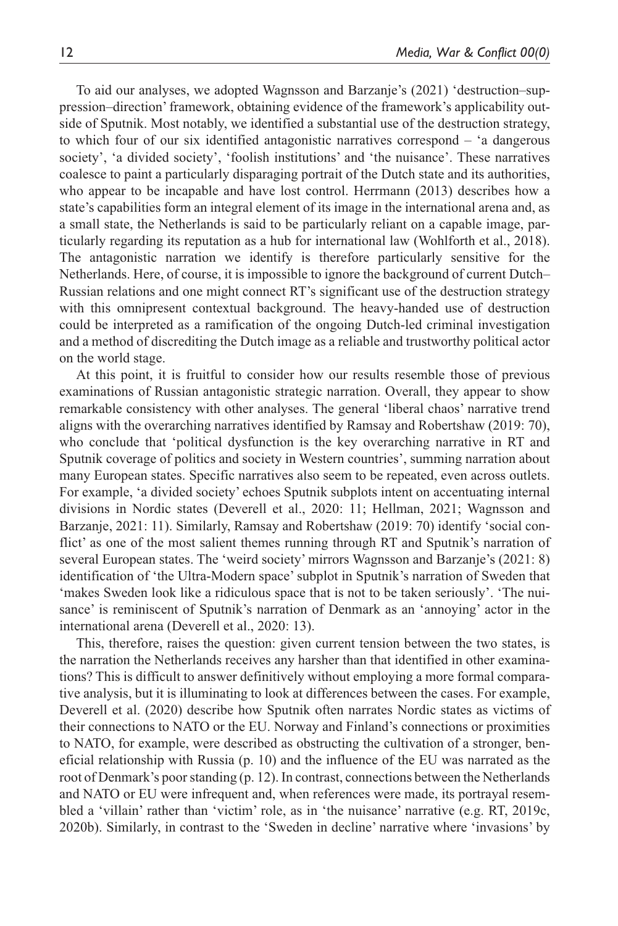To aid our analyses, we adopted Wagnsson and Barzanje's (2021) 'destruction–suppression–direction' framework, obtaining evidence of the framework's applicability outside of Sputnik. Most notably, we identified a substantial use of the destruction strategy, to which four of our six identified antagonistic narratives correspond – 'a dangerous society', 'a divided society', 'foolish institutions' and 'the nuisance'. These narratives coalesce to paint a particularly disparaging portrait of the Dutch state and its authorities, who appear to be incapable and have lost control. Herrmann (2013) describes how a state's capabilities form an integral element of its image in the international arena and, as a small state, the Netherlands is said to be particularly reliant on a capable image, particularly regarding its reputation as a hub for international law (Wohlforth et al., 2018). The antagonistic narration we identify is therefore particularly sensitive for the Netherlands. Here, of course, it is impossible to ignore the background of current Dutch– Russian relations and one might connect RT's significant use of the destruction strategy with this omnipresent contextual background. The heavy-handed use of destruction could be interpreted as a ramification of the ongoing Dutch-led criminal investigation and a method of discrediting the Dutch image as a reliable and trustworthy political actor on the world stage.

At this point, it is fruitful to consider how our results resemble those of previous examinations of Russian antagonistic strategic narration. Overall, they appear to show remarkable consistency with other analyses. The general 'liberal chaos' narrative trend aligns with the overarching narratives identified by Ramsay and Robertshaw (2019: 70), who conclude that 'political dysfunction is the key overarching narrative in RT and Sputnik coverage of politics and society in Western countries', summing narration about many European states. Specific narratives also seem to be repeated, even across outlets. For example, 'a divided society' echoes Sputnik subplots intent on accentuating internal divisions in Nordic states (Deverell et al., 2020: 11; Hellman, 2021; Wagnsson and Barzanje, 2021: 11). Similarly, Ramsay and Robertshaw (2019: 70) identify 'social conflict' as one of the most salient themes running through RT and Sputnik's narration of several European states. The 'weird society' mirrors Wagnsson and Barzanje's (2021: 8) identification of 'the Ultra-Modern space' subplot in Sputnik's narration of Sweden that 'makes Sweden look like a ridiculous space that is not to be taken seriously'. 'The nuisance' is reminiscent of Sputnik's narration of Denmark as an 'annoying' actor in the international arena (Deverell et al., 2020: 13).

This, therefore, raises the question: given current tension between the two states, is the narration the Netherlands receives any harsher than that identified in other examinations? This is difficult to answer definitively without employing a more formal comparative analysis, but it is illuminating to look at differences between the cases. For example, Deverell et al. (2020) describe how Sputnik often narrates Nordic states as victims of their connections to NATO or the EU. Norway and Finland's connections or proximities to NATO, for example, were described as obstructing the cultivation of a stronger, beneficial relationship with Russia (p. 10) and the influence of the EU was narrated as the root of Denmark's poor standing (p. 12). In contrast, connections between the Netherlands and NATO or EU were infrequent and, when references were made, its portrayal resembled a 'villain' rather than 'victim' role, as in 'the nuisance' narrative (e.g. RT, 2019c, 2020b). Similarly, in contrast to the 'Sweden in decline' narrative where 'invasions' by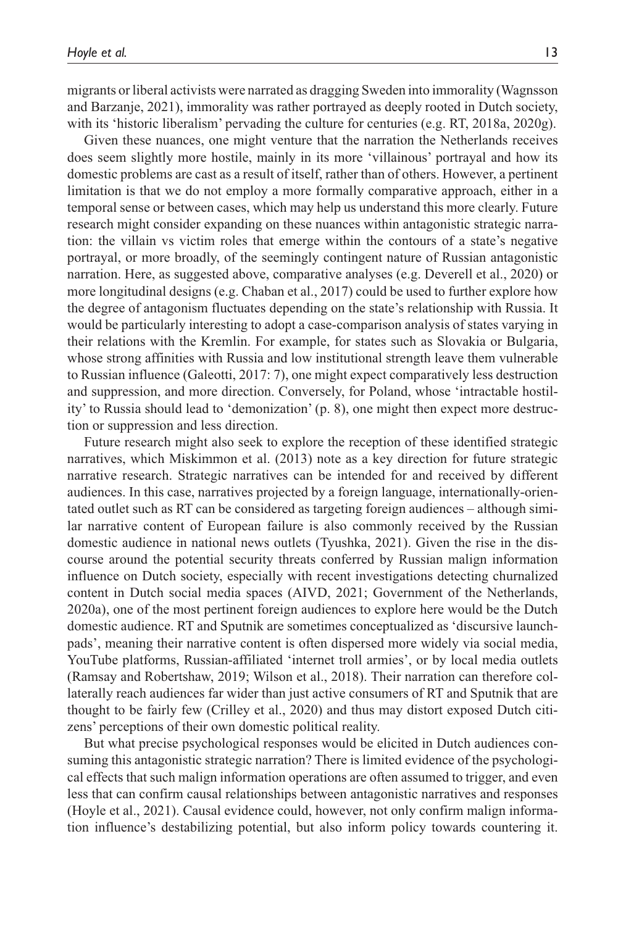migrants or liberal activists were narrated as dragging Sweden into immorality (Wagnsson and Barzanje, 2021), immorality was rather portrayed as deeply rooted in Dutch society, with its 'historic liberalism' pervading the culture for centuries (e.g. RT, 2018a, 2020g).

Given these nuances, one might venture that the narration the Netherlands receives does seem slightly more hostile, mainly in its more 'villainous' portrayal and how its domestic problems are cast as a result of itself, rather than of others. However, a pertinent limitation is that we do not employ a more formally comparative approach, either in a temporal sense or between cases, which may help us understand this more clearly. Future research might consider expanding on these nuances within antagonistic strategic narration: the villain vs victim roles that emerge within the contours of a state's negative portrayal, or more broadly, of the seemingly contingent nature of Russian antagonistic narration. Here, as suggested above, comparative analyses (e.g. Deverell et al., 2020) or more longitudinal designs (e.g. Chaban et al., 2017) could be used to further explore how the degree of antagonism fluctuates depending on the state's relationship with Russia. It would be particularly interesting to adopt a case-comparison analysis of states varying in their relations with the Kremlin. For example, for states such as Slovakia or Bulgaria, whose strong affinities with Russia and low institutional strength leave them vulnerable to Russian influence (Galeotti, 2017: 7), one might expect comparatively less destruction and suppression, and more direction. Conversely, for Poland, whose 'intractable hostility' to Russia should lead to 'demonization' (p. 8), one might then expect more destruction or suppression and less direction.

Future research might also seek to explore the reception of these identified strategic narratives, which Miskimmon et al. (2013) note as a key direction for future strategic narrative research. Strategic narratives can be intended for and received by different audiences. In this case, narratives projected by a foreign language, internationally-orientated outlet such as RT can be considered as targeting foreign audiences – although similar narrative content of European failure is also commonly received by the Russian domestic audience in national news outlets (Tyushka, 2021). Given the rise in the discourse around the potential security threats conferred by Russian malign information influence on Dutch society, especially with recent investigations detecting churnalized content in Dutch social media spaces (AIVD, 2021; Government of the Netherlands, 2020a), one of the most pertinent foreign audiences to explore here would be the Dutch domestic audience. RT and Sputnik are sometimes conceptualized as 'discursive launchpads', meaning their narrative content is often dispersed more widely via social media, YouTube platforms, Russian-affiliated 'internet troll armies', or by local media outlets (Ramsay and Robertshaw, 2019; Wilson et al., 2018). Their narration can therefore collaterally reach audiences far wider than just active consumers of RT and Sputnik that are thought to be fairly few (Crilley et al., 2020) and thus may distort exposed Dutch citizens' perceptions of their own domestic political reality.

But what precise psychological responses would be elicited in Dutch audiences consuming this antagonistic strategic narration? There is limited evidence of the psychological effects that such malign information operations are often assumed to trigger, and even less that can confirm causal relationships between antagonistic narratives and responses (Hoyle et al., 2021). Causal evidence could, however, not only confirm malign information influence's destabilizing potential, but also inform policy towards countering it.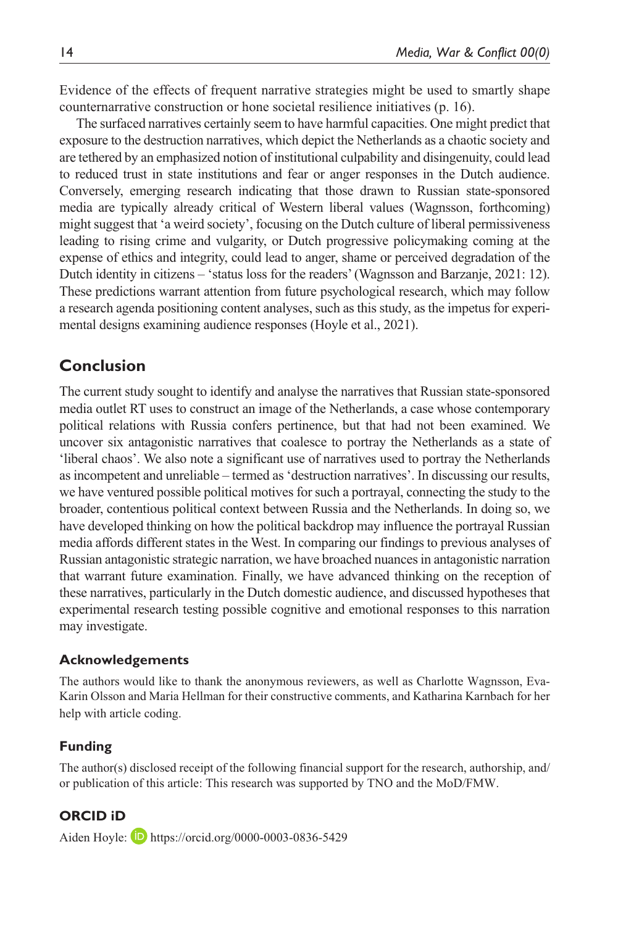Evidence of the effects of frequent narrative strategies might be used to smartly shape counternarrative construction or hone societal resilience initiatives (p. 16).

The surfaced narratives certainly seem to have harmful capacities. One might predict that exposure to the destruction narratives, which depict the Netherlands as a chaotic society and are tethered by an emphasized notion of institutional culpability and disingenuity, could lead to reduced trust in state institutions and fear or anger responses in the Dutch audience. Conversely, emerging research indicating that those drawn to Russian state-sponsored media are typically already critical of Western liberal values (Wagnsson, forthcoming) might suggest that 'a weird society', focusing on the Dutch culture of liberal permissiveness leading to rising crime and vulgarity, or Dutch progressive policymaking coming at the expense of ethics and integrity, could lead to anger, shame or perceived degradation of the Dutch identity in citizens – 'status loss for the readers' (Wagnsson and Barzanje, 2021: 12). These predictions warrant attention from future psychological research, which may follow a research agenda positioning content analyses, such as this study, as the impetus for experimental designs examining audience responses (Hoyle et al., 2021).

# **Conclusion**

The current study sought to identify and analyse the narratives that Russian state-sponsored media outlet RT uses to construct an image of the Netherlands, a case whose contemporary political relations with Russia confers pertinence, but that had not been examined. We uncover six antagonistic narratives that coalesce to portray the Netherlands as a state of 'liberal chaos'. We also note a significant use of narratives used to portray the Netherlands as incompetent and unreliable – termed as 'destruction narratives'. In discussing our results, we have ventured possible political motives for such a portrayal, connecting the study to the broader, contentious political context between Russia and the Netherlands. In doing so, we have developed thinking on how the political backdrop may influence the portrayal Russian media affords different states in the West. In comparing our findings to previous analyses of Russian antagonistic strategic narration, we have broached nuances in antagonistic narration that warrant future examination. Finally, we have advanced thinking on the reception of these narratives, particularly in the Dutch domestic audience, and discussed hypotheses that experimental research testing possible cognitive and emotional responses to this narration may investigate.

#### **Acknowledgements**

The authors would like to thank the anonymous reviewers, as well as Charlotte Wagnsson, Eva-Karin Olsson and Maria Hellman for their constructive comments, and Katharina Karnbach for her help with article coding.

#### **Funding**

The author(s) disclosed receipt of the following financial support for the research, authorship, and/ or publication of this article: This research was supported by TNO and the MoD/FMW.

### **ORCID iD**

Aiden Hoyle: **D** <https://orcid.org/0000-0003-0836-5429>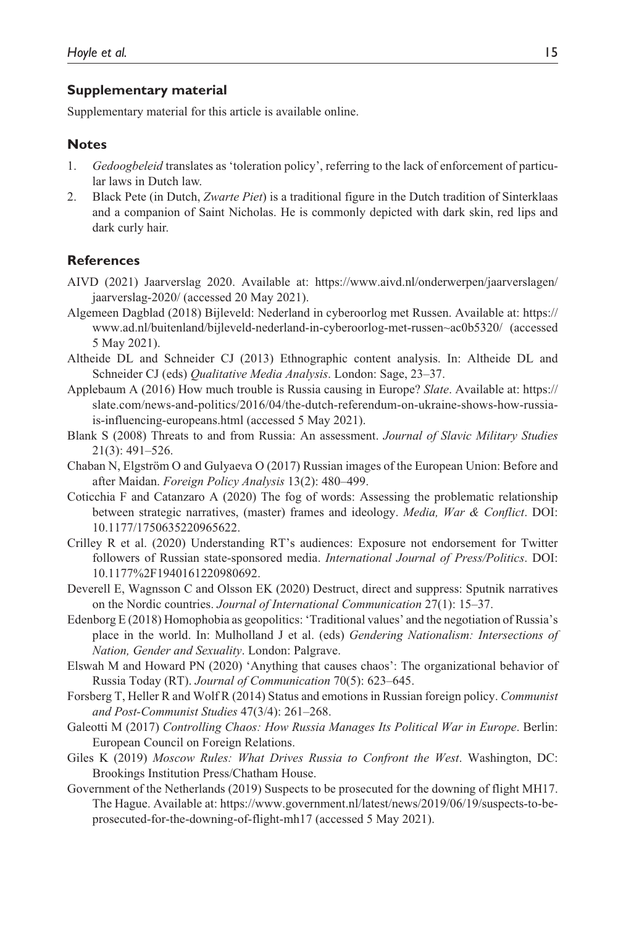#### **Supplementary material**

Supplementary material for this article is available online.

## **Notes**

- 1. *Gedoogbeleid* translates as 'toleration policy', referring to the lack of enforcement of particular laws in Dutch law.
- 2. Black Pete (in Dutch, *Zwarte Piet*) is a traditional figure in the Dutch tradition of Sinterklaas and a companion of Saint Nicholas. He is commonly depicted with dark skin, red lips and dark curly hair.

## **References**

- AIVD (2021) Jaarverslag 2020. Available at: [https://www.aivd.nl/onderwerpen/jaarverslagen/](https://www.aivd.nl/onderwerpen/jaarverslagen/jaarverslag-2020/) [jaarverslag-2020/](https://www.aivd.nl/onderwerpen/jaarverslagen/jaarverslag-2020/) (accessed 20 May 2021).
- Algemeen Dagblad (2018) Bijleveld: Nederland in cyberoorlog met Russen. Available at: [https://](https://www.ad.nl/buitenland/bijleveld-nederland-in-cyberoorlog-met-russen~ac0b5320/) [www.ad.nl/buitenland/bijleveld-nederland-in-cyberoorlog-met-russen~ac0b5320/](https://www.ad.nl/buitenland/bijleveld-nederland-in-cyberoorlog-met-russen~ac0b5320/) (accessed 5 May 2021).
- Altheide DL and Schneider CJ (2013) Ethnographic content analysis. In: Altheide DL and Schneider CJ (eds) *Qualitative Media Analysis*. London: Sage, 23–37.
- Applebaum A (2016) How much trouble is Russia causing in Europe? *Slate*. Available at: [https://](https://slate.com/news-and-politics/2016/04/the-dutch-referendum-on-ukraine-shows-how-russia-is-influencing-europeans.html) [slate.com/news-and-politics/2016/04/the-dutch-referendum-on-ukraine-shows-how-russia](https://slate.com/news-and-politics/2016/04/the-dutch-referendum-on-ukraine-shows-how-russia-is-influencing-europeans.html)[is-influencing-europeans.html](https://slate.com/news-and-politics/2016/04/the-dutch-referendum-on-ukraine-shows-how-russia-is-influencing-europeans.html) (accessed 5 May 2021).
- Blank S (2008) Threats to and from Russia: An assessment. *Journal of Slavic Military Studies* 21(3): 491–526.
- Chaban N, Elgström O and Gulyaeva O (2017) Russian images of the European Union: Before and after Maidan. *Foreign Policy Analysis* 13(2): 480–499.
- Coticchia F and Catanzaro A (2020) The fog of words: Assessing the problematic relationship between strategic narratives, (master) frames and ideology. *Media, War & Conflict*. DOI: 10.1177/1750635220965622.
- Crilley R et al. (2020) Understanding RT's audiences: Exposure not endorsement for Twitter followers of Russian state-sponsored media. *International Journal of Press/Politics*. DOI: 10.1177%2F1940161220980692.
- Deverell E, Wagnsson C and Olsson EK (2020) Destruct, direct and suppress: Sputnik narratives on the Nordic countries. *Journal of International Communication* 27(1): 15–37.
- Edenborg E (2018) Homophobia as geopolitics: 'Traditional values' and the negotiation of Russia's place in the world. In: Mulholland J et al. (eds) *Gendering Nationalism: Intersections of Nation, Gender and Sexuality*. London: Palgrave.
- Elswah M and Howard PN (2020) 'Anything that causes chaos': The organizational behavior of Russia Today (RT). *Journal of Communication* 70(5): 623–645.
- Forsberg T, Heller R and Wolf R (2014) Status and emotions in Russian foreign policy. *Communist and Post-Communist Studies* 47(3/4): 261–268.
- Galeotti M (2017) *Controlling Chaos: How Russia Manages Its Political War in Europe*. Berlin: European Council on Foreign Relations.
- Giles K (2019) *Moscow Rules: What Drives Russia to Confront the West*. Washington, DC: Brookings Institution Press/Chatham House.
- Government of the Netherlands (2019) Suspects to be prosecuted for the downing of flight MH17. The Hague. Available at: [https://www.government.nl/latest/news/2019/06/19/suspects-to-be](https://www.government.nl/latest/news/2019/06/19/suspects-to-be-prosecuted-for-the-downing-of-flight-mh17)[prosecuted-for-the-downing-of-flight-mh17](https://www.government.nl/latest/news/2019/06/19/suspects-to-be-prosecuted-for-the-downing-of-flight-mh17) (accessed 5 May 2021).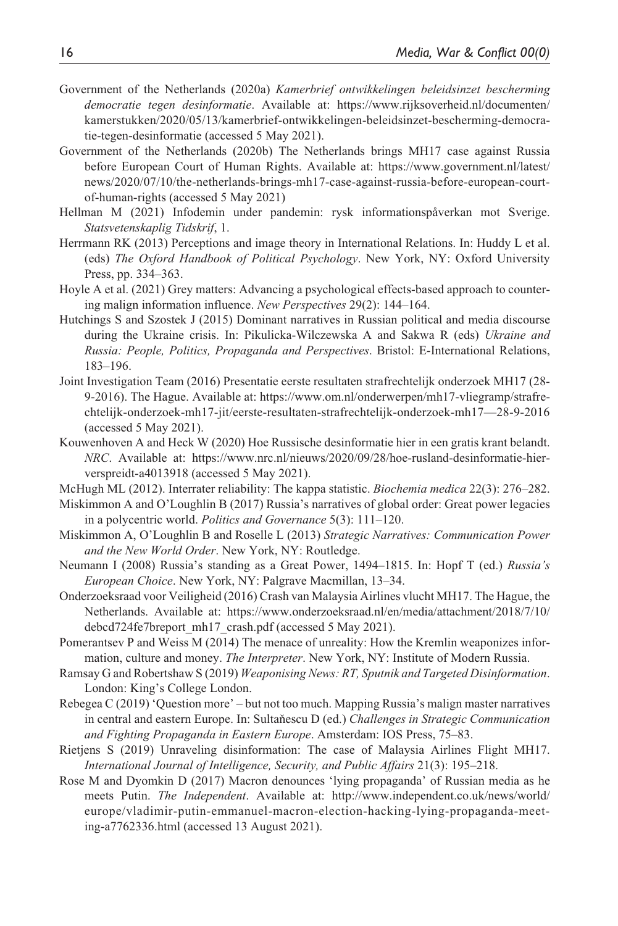- Government of the Netherlands (2020a) *Kamerbrief ontwikkelingen beleidsinzet bescherming democratie tegen desinformatie*. Available at: [https://www.rijksoverheid.nl/documenten/](https://www.rijksoverheid.nl/documenten/kamerstukken/2020/05/13/kamerbrief-ontwikkelingen-beleidsinzet-bescherming-democratie-tegen-desinformatie) [kamerstukken/2020/05/13/kamerbrief-ontwikkelingen-beleidsinzet-bescherming-democra](https://www.rijksoverheid.nl/documenten/kamerstukken/2020/05/13/kamerbrief-ontwikkelingen-beleidsinzet-bescherming-democratie-tegen-desinformatie)[tie-tegen-desinformatie](https://www.rijksoverheid.nl/documenten/kamerstukken/2020/05/13/kamerbrief-ontwikkelingen-beleidsinzet-bescherming-democratie-tegen-desinformatie) (accessed 5 May 2021).
- Government of the Netherlands (2020b) The Netherlands brings MH17 case against Russia before European Court of Human Rights. Available at: [https://www.government.nl/latest/](https://www.government.nl/latest/news/2020/07/10/the-netherlands-brings-mh17-case-against-russia-before-european-court-of-human-rights) [news/2020/07/10/the-netherlands-brings-mh17-case-against-russia-before-european-court](https://www.government.nl/latest/news/2020/07/10/the-netherlands-brings-mh17-case-against-russia-before-european-court-of-human-rights)[of-human-rights](https://www.government.nl/latest/news/2020/07/10/the-netherlands-brings-mh17-case-against-russia-before-european-court-of-human-rights) (accessed 5 May 2021)
- Hellman M (2021) Infodemin under pandemin: rysk informationspåverkan mot Sverige. *Statsvetenskaplig Tidskrif*, 1.
- Herrmann RK (2013) Perceptions and image theory in International Relations. In: Huddy L et al. (eds) *The Oxford Handbook of Political Psychology*. New York, NY: Oxford University Press, pp. 334–363.
- Hoyle A et al. (2021) Grey matters: Advancing a psychological effects-based approach to countering malign information influence. *New Perspectives* 29(2): 144–164.
- Hutchings S and Szostek J (2015) Dominant narratives in Russian political and media discourse during the Ukraine crisis. In: Pikulicka-Wilczewska A and Sakwa R (eds) *Ukraine and Russia: People, Politics, Propaganda and Perspectives*. Bristol: E-International Relations, 183–196.
- Joint Investigation Team (2016) Presentatie eerste resultaten strafrechtelijk onderzoek MH17 (28- 9-2016). The Hague. Available at: [https://www.om.nl/onderwerpen/mh17-vliegramp/strafre](https://www.om.nl/onderwerpen/mh17-vliegramp/strafrechtelijk-onderzoek-mh17-jit/eerste-resultaten-strafrechtelijk-onderzoek-mh17)[chtelijk-onderzoek-mh17-jit/eerste-resultaten-strafrechtelijk-onderzoek-mh17—](https://www.om.nl/onderwerpen/mh17-vliegramp/strafrechtelijk-onderzoek-mh17-jit/eerste-resultaten-strafrechtelijk-onderzoek-mh17)28-9-2016 (accessed 5 May 2021).
- Kouwenhoven A and Heck W (2020) Hoe Russische desinformatie hier in een gratis krant belandt. *NRC*. Available at: [https://www.nrc.nl/nieuws/2020/09/28/hoe-rusland-desinformatie-hier](https://www.nrc.nl/nieuws/2020/09/28/hoe-rusland-desinformatie-hier-verspreidt-a4013918)[verspreidt-a4013918](https://www.nrc.nl/nieuws/2020/09/28/hoe-rusland-desinformatie-hier-verspreidt-a4013918) (accessed 5 May 2021).
- McHugh ML (2012). Interrater reliability: The kappa statistic. *Biochemia medica* 22(3): 276–282.
- Miskimmon A and O'Loughlin B (2017) Russia's narratives of global order: Great power legacies in a polycentric world. *Politics and Governance* 5(3): 111–120.
- Miskimmon A, O'Loughlin B and Roselle L (2013) *Strategic Narratives: Communication Power and the New World Order*. New York, NY: Routledge.
- Neumann I (2008) Russia's standing as a Great Power, 1494–1815. In: Hopf T (ed.) *Russia's European Choice*. New York, NY: Palgrave Macmillan, 13–34.
- Onderzoeksraad voor Veiligheid (2016) Crash van Malaysia Airlines vlucht MH17. The Hague, the Netherlands. Available at: [https://www.onderzoeksraad.nl/en/media/attachment/2018/7/10/](https://www.onderzoeksraad.nl/en/media/attachment/2018/7/10/debcd724fe7breport_mh17_crash.pdf) [debcd724fe7breport\\_mh17\\_crash.pdf](https://www.onderzoeksraad.nl/en/media/attachment/2018/7/10/debcd724fe7breport_mh17_crash.pdf) (accessed 5 May 2021).
- Pomerantsev P and Weiss M (2014) The menace of unreality: How the Kremlin weaponizes information, culture and money. *The Interpreter*. New York, NY: Institute of Modern Russia.
- Ramsay G and Robertshaw S (2019) *Weaponising News: RT, Sputnik and Targeted Disinformation*. London: King's College London.
- Rebegea C (2019) 'Question more' but not too much. Mapping Russia's malign master narratives in central and eastern Europe. In: Sultaňescu D (ed.) *Challenges in Strategic Communication and Fighting Propaganda in Eastern Europe*. Amsterdam: IOS Press, 75–83.
- Rietjens S (2019) Unraveling disinformation: The case of Malaysia Airlines Flight MH17. *International Journal of Intelligence, Security, and Public Affairs* 21(3): 195–218.
- Rose M and Dyomkin D (2017) Macron denounces 'lying propaganda' of Russian media as he meets Putin. *The Independent*. Available at: [http://www.independent.co.uk/news/world/](http://www.independent.co.uk/news/world/europe/vladimir-putin-emmanuel-macron-election-hacking-lying-propaganda-meeting-a7762336.html) [europe/vladimir-putin-emmanuel-macron-election-hacking-lying-propaganda-meet](http://www.independent.co.uk/news/world/europe/vladimir-putin-emmanuel-macron-election-hacking-lying-propaganda-meeting-a7762336.html)[ing-a7762336.html](http://www.independent.co.uk/news/world/europe/vladimir-putin-emmanuel-macron-election-hacking-lying-propaganda-meeting-a7762336.html) (accessed 13 August 2021).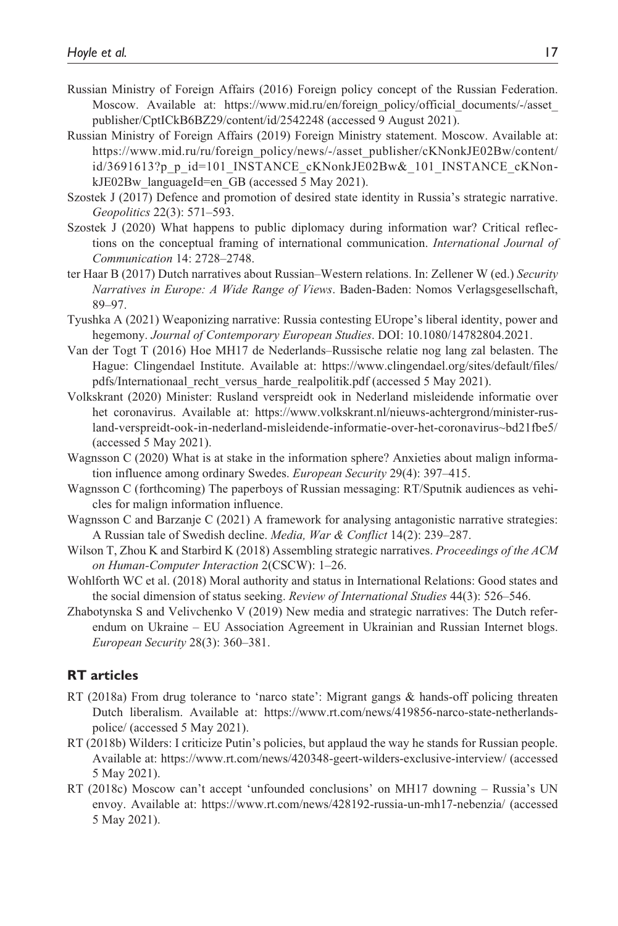- Russian Ministry of Foreign Affairs (2016) Foreign policy concept of the Russian Federation. Moscow. Available at: https://www.mid.ru/en/foreign\_policy/official\_documents/-/asset [publisher/CptICkB6BZ29/content/id/2542248](https://www.mid.ru/en/foreign_policy/official_documents/-/asset_publisher/CptICkB6BZ29/content/id/2542248) (accessed 9 August 2021).
- Russian Ministry of Foreign Affairs (2019) Foreign Ministry statement. Moscow. Available at: [https://www.mid.ru/ru/foreign\\_policy/news/-/asset\\_publisher/cKNonkJE02Bw/content/](https://www.mid.ru/ru/foreign_policy/news/-/asset_publisher/cKNonkJE02Bw/content/id/3691613?p_p_id=101_INSTANCE_cKNonkJE02Bw&_101_INSTANCE_cKNonkJE02Bw_languageId=en_GB) [id/3691613?p\\_p\\_id=101\\_INSTANCE\\_cKNonkJE02Bw&\\_101\\_INSTANCE\\_cKNon](https://www.mid.ru/ru/foreign_policy/news/-/asset_publisher/cKNonkJE02Bw/content/id/3691613?p_p_id=101_INSTANCE_cKNonkJE02Bw&_101_INSTANCE_cKNonkJE02Bw_languageId=en_GB)[kJE02Bw\\_languageId=en\\_GB](https://www.mid.ru/ru/foreign_policy/news/-/asset_publisher/cKNonkJE02Bw/content/id/3691613?p_p_id=101_INSTANCE_cKNonkJE02Bw&_101_INSTANCE_cKNonkJE02Bw_languageId=en_GB) (accessed 5 May 2021).
- Szostek J (2017) Defence and promotion of desired state identity in Russia's strategic narrative. *Geopolitics* 22(3): 571–593.
- Szostek J (2020) What happens to public diplomacy during information war? Critical reflections on the conceptual framing of international communication. *International Journal of Communication* 14: 2728–2748.
- ter Haar B (2017) Dutch narratives about Russian–Western relations. In: Zellener W (ed.) *Security Narratives in Europe: A Wide Range of Views*. Baden-Baden: Nomos Verlagsgesellschaft, 89–97.
- Tyushka A (2021) Weaponizing narrative: Russia contesting EUrope's liberal identity, power and hegemony. *Journal of Contemporary European Studies*. DOI: 10.1080/14782804.2021.
- Van der Togt T (2016) Hoe MH17 de Nederlands–Russische relatie nog lang zal belasten. The Hague: Clingendael Institute. Available at: [https://www.clingendael.org/sites/default/files/](https://www.clingendael.org/sites/default/files/pdfs/Internationaal_recht_versus_harde_realpolitik.pdf) [pdfs/Internationaal\\_recht\\_versus\\_harde\\_realpolitik.pdf](https://www.clingendael.org/sites/default/files/pdfs/Internationaal_recht_versus_harde_realpolitik.pdf) (accessed 5 May 2021).
- Volkskrant (2020) Minister: Rusland verspreidt ook in Nederland misleidende informatie over het coronavirus. Available at: [https://www.volkskrant.nl/nieuws-achtergrond/minister-rus](https://www.volkskrant.nl/nieuws-achtergrond/minister-rusland-verspreidt-ook-in-nederland-misleidende-informatie-over-het-coronavirus~bd21fbe5/)[land-verspreidt-ook-in-nederland-misleidende-informatie-over-het-coronavirus~bd21fbe5/](https://www.volkskrant.nl/nieuws-achtergrond/minister-rusland-verspreidt-ook-in-nederland-misleidende-informatie-over-het-coronavirus~bd21fbe5/)  (accessed 5 May 2021).
- Wagnsson C (2020) What is at stake in the information sphere? Anxieties about malign information influence among ordinary Swedes. *European Security* 29(4): 397–415.
- Wagnsson C (forthcoming) The paperboys of Russian messaging: RT/Sputnik audiences as vehicles for malign information influence.
- Wagnsson C and Barzanje C (2021) A framework for analysing antagonistic narrative strategies: A Russian tale of Swedish decline. *Media, War & Conflict* 14(2): 239–287.
- Wilson T, Zhou K and Starbird K (2018) Assembling strategic narratives. *Proceedings of the ACM on Human-Computer Interaction* 2(CSCW): 1–26.
- Wohlforth WC et al. (2018) Moral authority and status in International Relations: Good states and the social dimension of status seeking. *Review of International Studies* 44(3): 526–546.
- Zhabotynska S and Velivchenko V (2019) New media and strategic narratives: The Dutch referendum on Ukraine – EU Association Agreement in Ukrainian and Russian Internet blogs. *European Security* 28(3): 360–381.

## **RT articles**

- RT (2018a) From drug tolerance to 'narco state': Migrant gangs & hands-off policing threaten Dutch liberalism. Available at: [https://www.rt.com/news/419856-narco-state-netherlands](https://www.rt.com/news/419856-narco-state-netherlands-police/)[police/](https://www.rt.com/news/419856-narco-state-netherlands-police/) (accessed 5 May 2021).
- RT (2018b) Wilders: I criticize Putin's policies, but applaud the way he stands for Russian people. Available at: <https://www.rt.com/news/420348-geert-wilders-exclusive-interview/>(accessed 5 May 2021).
- RT (2018c) Moscow can't accept 'unfounded conclusions' on MH17 downing Russia's UN envoy. Available at: <https://www.rt.com/news/428192-russia-un-mh17-nebenzia/>(accessed 5 May 2021).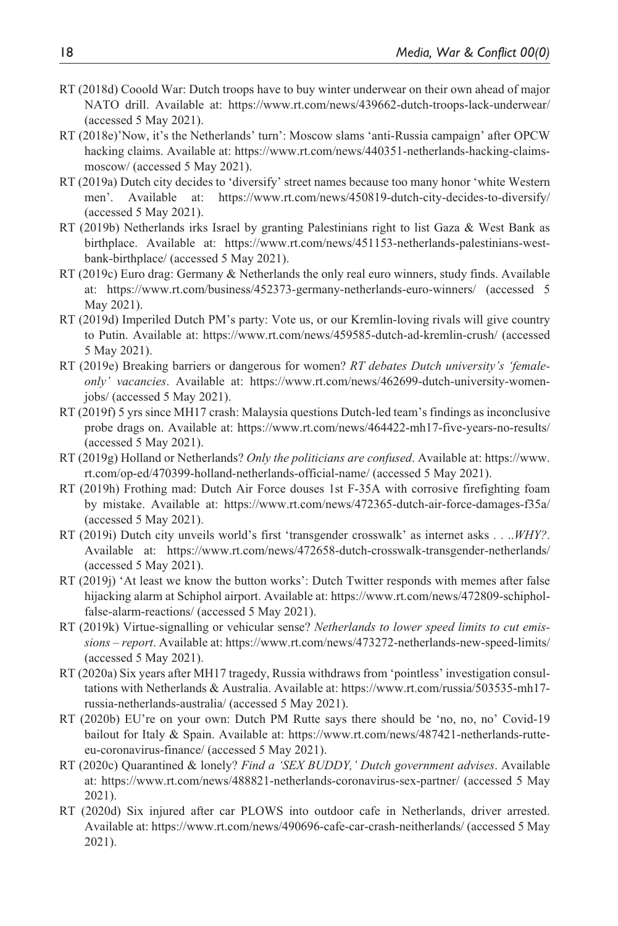- RT (2018d) Cooold War: Dutch troops have to buy winter underwear on their own ahead of major NATO drill. Available at: <https://www.rt.com/news/439662-dutch-troops-lack-underwear/> (accessed 5 May 2021).
- RT (2018e)'Now, it's the Netherlands' turn': Moscow slams 'anti-Russia campaign' after OPCW hacking claims. Available at: [https://www.rt.com/news/440351-netherlands-hacking-claims](https://www.rt.com/news/440351-netherlands-hacking-claims-moscow/)[moscow/](https://www.rt.com/news/440351-netherlands-hacking-claims-moscow/) (accessed 5 May 2021).
- RT (2019a) Dutch city decides to 'diversify' street names because too many honor 'white Western men'. Available at: <https://www.rt.com/news/450819-dutch-city-decides-to-diversify/> (accessed 5 May 2021).
- RT (2019b) Netherlands irks Israel by granting Palestinians right to list Gaza & West Bank as birthplace. Available at: [https://www.rt.com/news/451153-netherlands-palestinians-west](https://www.rt.com/news/451153-netherlands-palestinians-west-bank-birthplace/)[bank-birthplace/](https://www.rt.com/news/451153-netherlands-palestinians-west-bank-birthplace/) (accessed 5 May 2021).
- RT (2019c) Euro drag: Germany & Netherlands the only real euro winners, study finds. Available at: <https://www.rt.com/business/452373-germany-netherlands-euro-winners/> (accessed 5 May 2021).
- RT (2019d) Imperiled Dutch PM's party: Vote us, or our Kremlin-loving rivals will give country to Putin. Available at: <https://www.rt.com/news/459585-dutch-ad-kremlin-crush/> (accessed 5 May 2021).
- RT (2019e) Breaking barriers or dangerous for women? *RT debates Dutch university's 'femaleonly' vacancies*. Available at: [https://www.rt.com/news/462699-dutch-university-women](https://www.rt.com/news/462699-dutch-university-women-jobs/)[jobs/](https://www.rt.com/news/462699-dutch-university-women-jobs/) (accessed 5 May 2021).
- RT (2019f) 5 yrs since MH17 crash: Malaysia questions Dutch-led team's findings as inconclusive probe drags on. Available at: <https://www.rt.com/news/464422-mh17-five-years-no-results/> (accessed 5 May 2021).
- RT (2019g) Holland or Netherlands? *Only the politicians are confused*. Available at: [https://www.](https://www.rt.com/op-ed/470399-holland-netherlands-official-name/) [rt.com/op-ed/470399-holland-netherlands-official-name/](https://www.rt.com/op-ed/470399-holland-netherlands-official-name/) (accessed 5 May 2021).
- RT (2019h) Frothing mad: Dutch Air Force douses 1st F-35A with corrosive firefighting foam by mistake. Available at: <https://www.rt.com/news/472365-dutch-air-force-damages-f35a/> (accessed 5 May 2021).
- RT (2019i) Dutch city unveils world's first 'transgender crosswalk' as internet asks . . ..*WHY?*. Available at: <https://www.rt.com/news/472658-dutch-crosswalk-transgender-netherlands/> (accessed 5 May 2021).
- RT (2019j) 'At least we know the button works': Dutch Twitter responds with memes after false hijacking alarm at Schiphol airport. Available at: [https://www.rt.com/news/472809-schiphol](https://www.rt.com/news/472809-schiphol-false-alarm-reactions/)[false-alarm-reactions/](https://www.rt.com/news/472809-schiphol-false-alarm-reactions/) (accessed 5 May 2021).
- RT (2019k) Virtue-signalling or vehicular sense? *Netherlands to lower speed limits to cut emissions – report*. Available at: <https://www.rt.com/news/473272-netherlands-new-speed-limits/> (accessed 5 May 2021).
- RT (2020a) Six years after MH17 tragedy, Russia withdraws from 'pointless' investigation consultations with Netherlands & Australia. Available at: [https://www.rt.com/russia/503535-mh17](https://www.rt.com/russia/503535-mh17-russia-netherlands-australia/) [russia-netherlands-australia/](https://www.rt.com/russia/503535-mh17-russia-netherlands-australia/) (accessed 5 May 2021).
- RT (2020b) EU're on your own: Dutch PM Rutte says there should be 'no, no, no' Covid-19 bailout for Italy & Spain. Available at: [https://www.rt.com/news/487421-netherlands-rutte](https://www.rt.com/news/487421-netherlands-rutte-eu-coronavirus-finance/)[eu-coronavirus-finance/](https://www.rt.com/news/487421-netherlands-rutte-eu-coronavirus-finance/) (accessed 5 May 2021).
- RT (2020c) Quarantined & lonely? *Find a 'SEX BUDDY,' Dutch government advises*. Available at: <https://www.rt.com/news/488821-netherlands-coronavirus-sex-partner/> (accessed 5 May 2021).
- RT (2020d) Six injured after car PLOWS into outdoor cafe in Netherlands, driver arrested. Available at: <https://www.rt.com/news/490696-cafe-car-crash-neitherlands/> (accessed 5 May 2021).